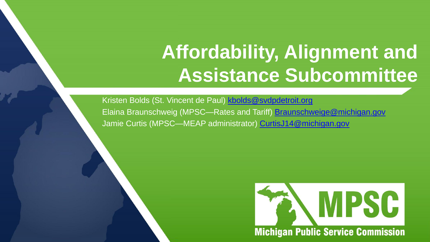# **Affordability, Alignment and Assistance Subcommittee**

Kristen Bolds (St. Vincent de Paul) [kbolds@svdpdetroit.org](mailto:kbolds@svdpdetroit.org) Elaina Braunschweig (MPSC—Rates and Tariff) [Braunschweige@michigan.gov](mailto:Braunschweige@michigan.gov) Jamie Curtis (MPSC—MEAP administrator) [CurtisJ14@michigan.gov](mailto:CurtisJ14@michigan.gov)

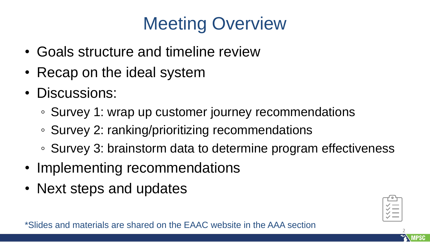### Meeting Overview

- Goals structure and timeline review
- Recap on the ideal system
- Discussions:
	- Survey 1: wrap up customer journey recommendations
	- Survey 2: ranking/prioritizing recommendations
	- Survey 3: brainstorm data to determine program effectiveness
- Implementing recommendations
- Next steps and updates

2

\*Slides and materials are shared on the EAAC website in the AAA section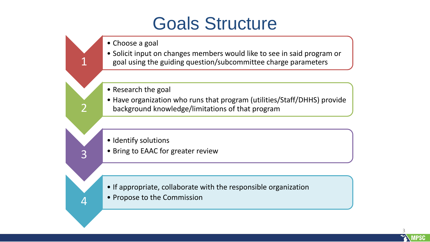### Goals Structure

• Choose a goal

1

2

3

4

- Solicit input on changes members would like to see in said program or goal using the guiding question/subcommittee charge parameters
- Research the goal
- Have organization who runs that program (utilities/Staff/DHHS) provide background knowledge/limitations of that program
- Identify solutions
- Bring to EAAC for greater review

- If appropriate, collaborate with the responsible organization
- Propose to the Commission

3 **MPSC**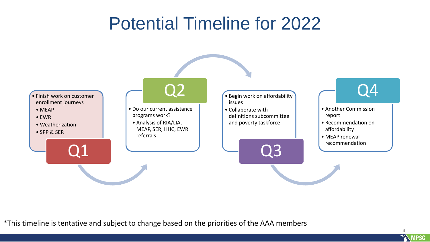### Potential Timeline for 2022



\*This timeline is tentative and subject to change based on the priorities of the AAA members

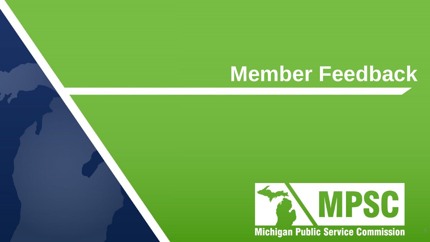# **Member Feedback**

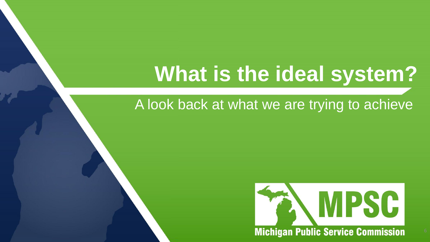# **What is the ideal system?**

A look back at what we are trying to achieve

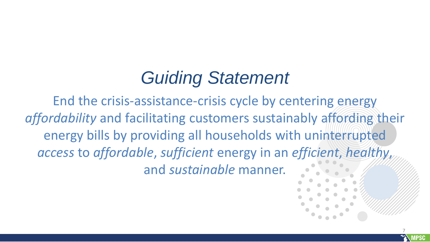### *Guiding Statement*

End the crisis-assistance-crisis cycle by centering energy *affordability* and facilitating customers sustainably affording their energy bills by providing all households with uninterrupted *access* to *affordable*, *sufficient* energy in an *efficient*, *healthy*, and *sustainable* manner.

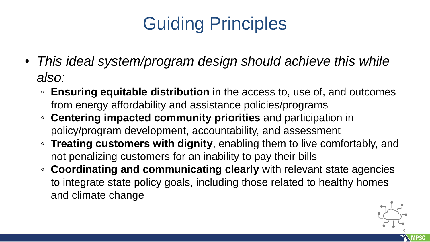## Guiding Principles

- *This ideal system/program design should achieve this while also:*
	- **Ensuring equitable distribution** in the access to, use of, and outcomes from energy affordability and assistance policies/programs
	- **Centering impacted community priorities** and participation in policy/program development, accountability, and assessment
	- **Treating customers with dignity**, enabling them to live comfortably, and not penalizing customers for an inability to pay their bills
	- **Coordinating and communicating clearly** with relevant state agencies to integrate state policy goals, including those related to healthy homes and climate change

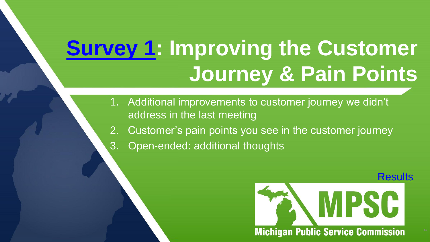# **[Survey 1](https://www.research.net/r/FB6QG6N): Improving the Customer Journey & Pain Points**

- 1. Additional improvements to customer journey we didn't address in the last meeting
- 2. Customer's pain points you see in the customer journey
- 3. Open-ended: additional thoughts

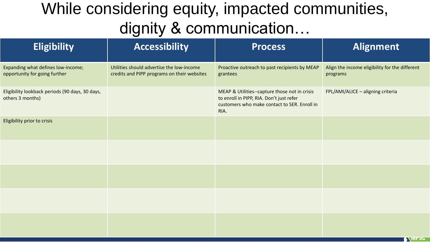### While considering equity, impacted communities, dignity & communication…

| <b>Eligibility</b>                                                  | <b>Accessibility</b>                                                                     | <b>Process</b>                                                                                                                                    | <b>Alignment</b>                                           |
|---------------------------------------------------------------------|------------------------------------------------------------------------------------------|---------------------------------------------------------------------------------------------------------------------------------------------------|------------------------------------------------------------|
| Expanding what defines low-income;<br>opportunity for going further | Utilities should advertise the low-income<br>credits and PIPP programs on their websites | Proactive outreach to past recipients by MEAP<br>grantees                                                                                         | Align the income eligibility for the different<br>programs |
| Eligibility lookback periods (90 days, 30 days,<br>others 3 months) |                                                                                          | MEAP & Utilities--capture those not in crisis<br>to enroll in PIPP, RIA. Don't just refer<br>customers who make contact to SER. Enroll in<br>RIA. | FPL/AMI/ALICE - aligning criteria                          |
| Eligibility prior to crisis                                         |                                                                                          |                                                                                                                                                   |                                                            |
|                                                                     |                                                                                          |                                                                                                                                                   |                                                            |
|                                                                     |                                                                                          |                                                                                                                                                   |                                                            |
|                                                                     |                                                                                          |                                                                                                                                                   |                                                            |
|                                                                     |                                                                                          |                                                                                                                                                   | <b>ENTIFOLI</b>                                            |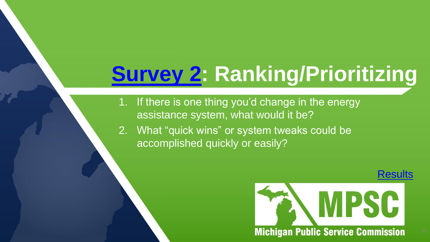# **[Survey 2:](https://www.research.net/r/FH8M8HP) Ranking/Prioritizing**

1. If there is one thing you'd change in the energy assistance system, what would it be?

2. What "quick wins" or system tweaks could be accomplished quickly or easily?

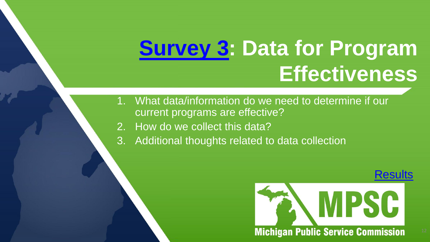# **[Survey 3](https://www.research.net/r/FBF9JKC): Data for Program Effectiveness**

- What data/information do we need to determine if our current programs are effective?
- 2. How do we collect this data?
- 3. Additional thoughts related to data collection

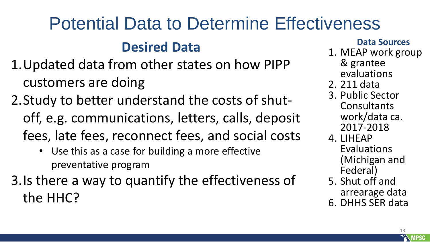# Potential Data to Determine Effectiveness

#### **Desired Data**

- 1.Updated data from other states on how PIPP customers are doing
- 2.Study to better understand the costs of shutoff, e.g. communications, letters, calls, deposit fees, late fees, reconnect fees, and social costs
	- Use this as a case for building a more effective preventative program
- 3.Is there a way to quantify the effectiveness of the HHC?

#### **Data Sources**

- 1. MEAP work group
	- & grantee evaluations
- 2. 211 data
- 3. Public Sector Consultants work/data ca. 2017-2018
- 4. LIHEAP Evaluations (Michigan and Federal)
- 5. Shut off and arrearage data
- 6. DHHS SER data

13

**MPSC**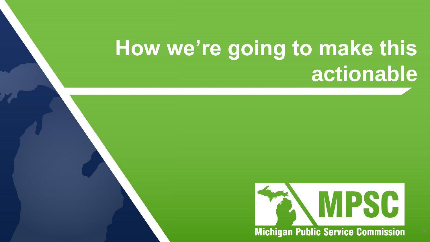# **How we're going to make this actionable**

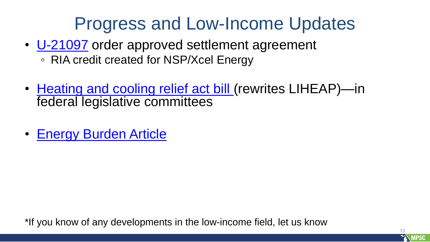### Progress and Low-Income Updates

- [U-21097](https://mi-psc.force.com/s/case/500t000000n293eAAA/in-the-matter-of-the-application-of-northern-states-power-company-a-wisconsin-corporation-and-wholly-owned-subsidiary-of-xcel-energy-inc-for-authority-to-increase-electric-rates-in-the-state-of-michigan) order approved settlement agreement
	- RIA credit created for NSP/Xcel Energy
- [Heating and cooling relief act bill \(](https://www.congress.gov/117/bills/s3535/BILLS-117s3535is.xml)rewrites LIHEAP)-in federal legislative committees
- [Energy Burden Article](https://empowerdataworks.com/energy/energy-burden-framework/)

\*If you know of any developments in the low-income field, let us know